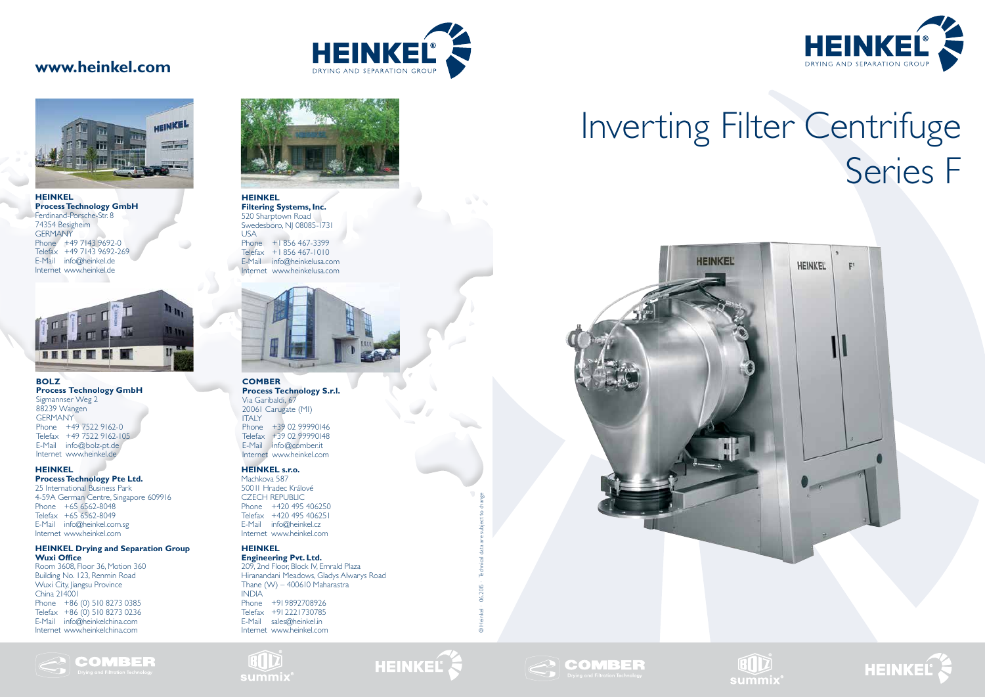# Inverting Filter Centrifuge Series F









### **www.heinkel.com**





### **HEINKEL s.r.o.**

Machkova 587 500 11 Hradec Králové CZECH REPUBLIC Phone +420 495 406250 Telefax +420 495 406251 E-Mail info@heinkel.cz Internet www.heinkel.com

### **HEINKEL**

ETD

**Engineering Pvt. Ltd.**  209, 2nd Floor, Block IV, Emrald Plaza Hiranandani Meadows, Gladys Alwarys Road Thane (W) – 400610 Maharastra INDIA Phone +91 9892708926 Telefax +91 2221730785 E-Mail sales@heinkel.in Internet www.heinkel.com



# HEINKEL

### **HEINKEL**

**Process Technology Pte Ltd.**

25 International Business Park 4-59A German Centre, Singapore 609916 Phone +65 6562-8048 Telefax +65 6562-8049 E-Mail info@heinkel.com.sg Internet www.heinkel.com

#### **HEINKEL Drying and Separation Group Wuxi Office**

Room 3608, Floor 36, Motion 360 Building No. 123, Renmin Road Wuxi City, Jiangsu Province China 214001 Phone +86 (0) 510 8273 0385 Telefax +86 (0) 510 8273 0236 E-Mail info@heinkelchina.com Internet www.heinkelchina.com





#### **HEINKEL**

**Filtering Systems, Inc.** 520 Sharptown Road Swedesboro, NJ 08085-1731 USA

Phone +1 856 467-3399 Telefax +1 856 467-1010 E-Mail info@heinkelusa.com Internet www.heinkelusa.com



**HEINKEL Process Technology GmbH** Ferdinand-Porsche-Str. 8 74354 Besigheim **GERMANY** Phone +49 7143 9692-0 Telefax +49 7143 9692-269 E-Mail info@heinkel.de Internet www.heinkel.de



**BOLZ Process Technology GmbH** Sigmannser Weg 2 88239 Wangen GERMANY Phone +49 7522 9162-0 Telefax +49 7522 9162-105 E-Mail info@bolz-pt.de Internet www.heinkel.de

### **COMBER**

**Process Technology S.r.l.** Via Garibaldi, 67 20061 Carugate (MI) ITALY Phone +39 02 99990146 Telefax +39 02 99990148 E-Mail info@comber.it Internet www.heinkel.com

© Heinkel · 06.2015 · Technical data are subject to change

# **COMBER**